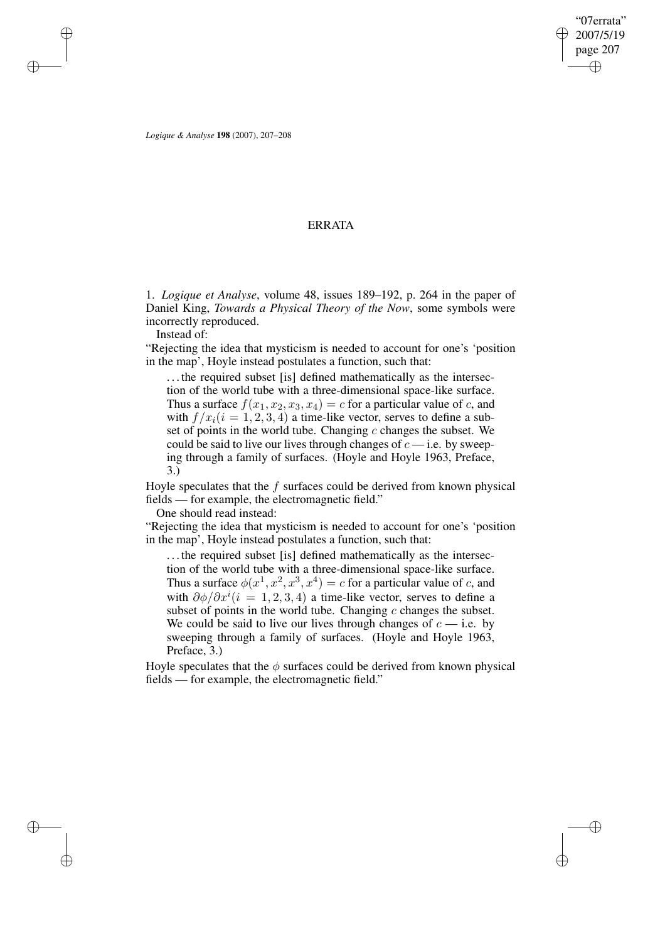✐

✐

*Logique & Analyse* **198** (2007), 207–208

✐

✐

✐

✐

## ERRATA

1. *Logique et Analyse*, volume 48, issues 189–192, p. 264 in the paper of Daniel King, *Towards a Physical Theory of the Now*, some symbols were incorrectly reproduced.

Instead of:

"Rejecting the idea that mysticism is needed to account for one's 'position in the map', Hoyle instead postulates a function, such that:

. . . the required subset [is] defined mathematically as the intersection of the world tube with a three-dimensional space-like surface. Thus a surface  $f(x_1, x_2, x_3, x_4) = c$  for a particular value of c, and with  $f/x_i$  ( $i = 1, 2, 3, 4$ ) a time-like vector, serves to define a subset of points in the world tube. Changing  $c$  changes the subset. We could be said to live our lives through changes of  $c$  — i.e. by sweeping through a family of surfaces. (Hoyle and Hoyle 1963, Preface, 3.)

Hoyle speculates that the  $f$  surfaces could be derived from known physical fields — for example, the electromagnetic field."

One should read instead:

"Rejecting the idea that mysticism is needed to account for one's 'position in the map', Hoyle instead postulates a function, such that:

. . . the required subset [is] defined mathematically as the intersection of the world tube with a three-dimensional space-like surface. Thus a surface  $\phi(x^1, x^2, x^3, x^4) = c$  for a particular value of c, and with  $\partial \phi / \partial x^{i} (i = 1, 2, 3, 4)$  a time-like vector, serves to define a subset of points in the world tube. Changing  $c$  changes the subset. We could be said to live our lives through changes of  $c$  — i.e. by sweeping through a family of surfaces. (Hoyle and Hoyle 1963, Preface, 3.)

Hoyle speculates that the  $\phi$  surfaces could be derived from known physical fields — for example, the electromagnetic field."